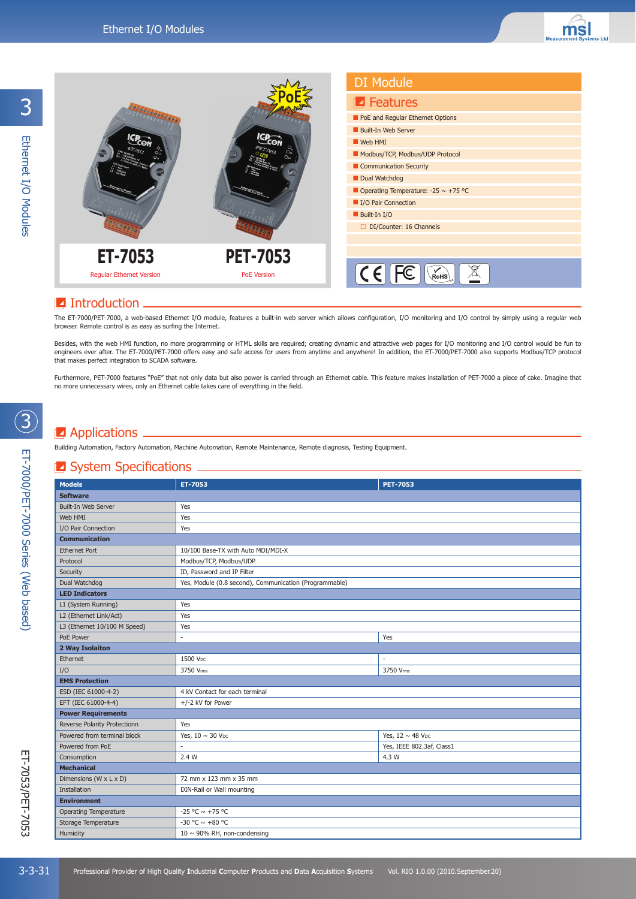

### **I** Introduction

The ET-7000/PET-7000, a web-based Ethernet I/O module, features a built-in web server which allows configuration, I/O monitoring and I/O control by simply using a regular web browser. Remote control is as easy as surfing the Internet.

Besides, with the web HMI function, no more programming or HTML skills are required; creating dynamic and attractive web pages for I/O monitoring and I/O control would be fun to engineers ever after. The ET-7000/PET-7000 offers easy and safe access for users from anytime and anywhere! In addition, the ET-7000/PET-7000 also supports Modbus/TCP protocol that makes perfect integration to SCADA software.

Furthermore, PET-7000 features "PoE" that not only data but also power is carried through an Ethernet cable. This feature makes installation of PET-7000 a piece of cake. Imagine that no more unnecessary wires, only an Ethernet cable takes care of everything in the field.

## **Applications**.

Building Automation, Factory Automation, Machine Automation, Remote Maintenance, Remote diagnosis, Testing Equipment.

#### $\blacksquare$  System Specifications  $\blacksquare$

| <b>Models</b>                | ET-7053                                                | <b>PET-7053</b>                   |
|------------------------------|--------------------------------------------------------|-----------------------------------|
| <b>Software</b>              |                                                        |                                   |
| Built-In Web Server          | Yes                                                    |                                   |
| Web HMI                      | Yes                                                    |                                   |
| I/O Pair Connection          | Yes                                                    |                                   |
| <b>Communication</b>         |                                                        |                                   |
| <b>Ethernet Port</b>         | 10/100 Base-TX with Auto MDI/MDI-X                     |                                   |
| Protocol                     | Modbus/TCP, Modbus/UDP                                 |                                   |
| Security                     | ID, Password and IP Filter                             |                                   |
| Dual Watchdog                | Yes, Module (0.8 second), Communication (Programmable) |                                   |
| <b>LED Indicators</b>        |                                                        |                                   |
| L1 (System Running)          | Yes                                                    |                                   |
| L2 (Ethernet Link/Act)       | Yes                                                    |                                   |
| L3 (Ethernet 10/100 M Speed) | Yes                                                    |                                   |
| PoE Power                    | $\sim$                                                 | Yes                               |
| 2 Way Isolaiton              |                                                        |                                   |
| Ethernet                     | 1500 VDC                                               |                                   |
| I/O                          | 3750 Vms                                               | 3750 Vms                          |
| <b>EMS Protection</b>        |                                                        |                                   |
| ESD (IEC 61000-4-2)          | 4 kV Contact for each terminal                         |                                   |
| EFT (IEC 61000-4-4)          | +/-2 kV for Power                                      |                                   |
| <b>Power Requirements</b>    |                                                        |                                   |
| Reverse Polarity Protectionn | Yes                                                    |                                   |
| Powered from terminal block  | Yes, $10 \sim 30$ V <sub>DC</sub>                      | Yes, 12 $\sim$ 48 V <sub>DC</sub> |
| Powered from PoE             |                                                        | Yes, IEEE 802.3af, Class1         |
| Consumption                  | 2.4W                                                   | 4.3 W                             |
| <b>Mechanical</b>            |                                                        |                                   |
| Dimensions (W x L x D)       | 72 mm x 123 mm x 35 mm                                 |                                   |
| Installation                 | DIN-Rail or Wall mounting                              |                                   |
| <b>Environment</b>           |                                                        |                                   |
| <b>Operating Temperature</b> | -25 °C $\sim$ +75 °C                                   |                                   |
| Storage Temperature          | -30 °C $\sim$ +80 °C                                   |                                   |
| Humidity                     | 10 $\sim$ 90% RH, non-condensing                       |                                   |

3